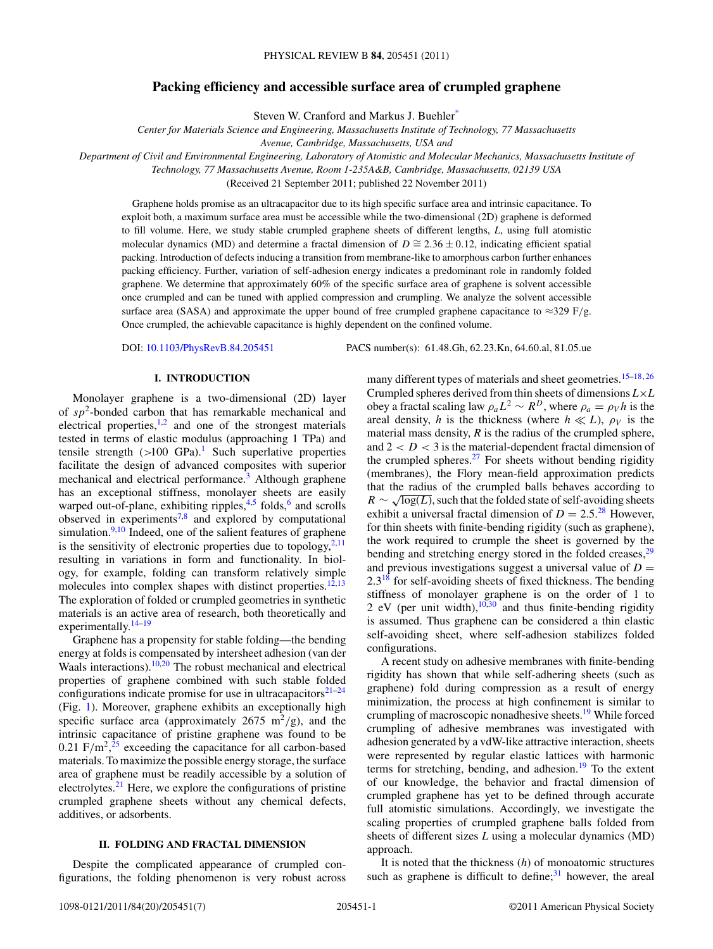# **Packing efficiency and accessible surface area of crumpled graphene**

Steven W. Cranford and Markus J. Buehler[\\*](#page-5-0)

*Center for Materials Science and Engineering, Massachusetts Institute of Technology, 77 Massachusetts*

*Avenue, Cambridge, Massachusetts, USA and*

*Department of Civil and Environmental Engineering, Laboratory of Atomistic and Molecular Mechanics, Massachusetts Institute of*

*Technology, 77 Massachusetts Avenue, Room 1-235A&B, Cambridge, Massachusetts, 02139 USA*

(Received 21 September 2011; published 22 November 2011)

Graphene holds promise as an ultracapacitor due to its high specific surface area and intrinsic capacitance. To exploit both, a maximum surface area must be accessible while the two-dimensional (2D) graphene is deformed to fill volume. Here, we study stable crumpled graphene sheets of different lengths, *L*, using full atomistic molecular dynamics (MD) and determine a fractal dimension of  $D \cong 2.36 \pm 0.12$ , indicating efficient spatial packing. Introduction of defects inducing a transition from membrane-like to amorphous carbon further enhances packing efficiency. Further, variation of self-adhesion energy indicates a predominant role in randomly folded graphene. We determine that approximately 60% of the specific surface area of graphene is solvent accessible once crumpled and can be tuned with applied compression and crumpling. We analyze the solvent accessible surface area (SASA) and approximate the upper bound of free crumpled graphene capacitance to  $\approx$ 329 F/g. Once crumpled, the achievable capacitance is highly dependent on the confined volume.

DOI: [10.1103/PhysRevB.84.205451](http://dx.doi.org/10.1103/PhysRevB.84.205451) PACS number(s): 61*.*48*.*Gh, 62*.*23*.*Kn, 64*.*60*.*al, 81*.*05*.*ue

# **I. INTRODUCTION**

Monolayer graphene is a two-dimensional (2D) layer of *sp*2-bonded carbon that has remarkable mechanical and electrical properties, $1,2$  and one of the strongest materials tested in terms of elastic modulus (approaching 1 TPa) and tensile strength  $(>100 \text{ GPa})$  $(>100 \text{ GPa})$  $(>100 \text{ GPa})$ .<sup>1</sup> Such superlative properties facilitate the design of advanced composites with superior mechanical and electrical performance.<sup>3</sup> Although graphene has an exceptional stiffness, monolayer sheets are easily warped out-of-plane, exhibiting ripples,<sup>4,5</sup> folds,<sup>6</sup> and scrolls observed in experiments<sup>7,8</sup> and explored by computational simulation. $9,10$  Indeed, one of the salient features of graphene is the sensitivity of electronic properties due to topology, $2,11$  $2,11$ resulting in variations in form and functionality. In biology, for example, folding can transform relatively simple molecules into complex shapes with distinct properties.<sup>12,13</sup> The exploration of folded or crumpled geometries in synthetic materials is an active area of research, both theoretically and experimentally. $14-19$ 

Graphene has a propensity for stable folding—the bending energy at folds is compensated by intersheet adhesion (van der Waals interactions). $10,20$  $10,20$  The robust mechanical and electrical properties of graphene combined with such stable folded configurations indicate promise for use in ultracapacitors $21-24$ (Fig. [1\)](#page-1-0). Moreover, graphene exhibits an exceptionally high specific surface area (approximately  $2675 \text{ m}^2/\text{g}$ ), and the intrinsic capacitance of pristine graphene was found to be  $0.21 \text{ F/m}^2$ , <sup>[25](#page-6-0)</sup> exceeding the capacitance for all carbon-based materials. To maximize the possible energy storage, the surface area of graphene must be readily accessible by a solution of electrolytes. $^{21}$  Here, we explore the configurations of pristine crumpled graphene sheets without any chemical defects, additives, or adsorbents.

# **II. FOLDING AND FRACTAL DIMENSION**

Despite the complicated appearance of crumpled configurations, the folding phenomenon is very robust across many different types of materials and sheet geometries.[15–18](#page-6-0)*,*[26](#page-6-0) Crumpled spheres derived from thin sheets of dimensions *L*×*L* obey a fractal scaling law  $\rho_a L^2 \sim R^D$ , where  $\rho_a = \rho_V h$  is the areal density, *h* is the thickness (where  $h \ll L$ ),  $\rho_V$  is the material mass density,  $R$  is the radius of the crumpled sphere, and  $2 < D < 3$  is the material-dependent fractal dimension of the crumpled spheres. $27$  For sheets without bending rigidity (membranes), the Flory mean-field approximation predicts that the radius of the crumpled balls behaves according to  $R \sim \sqrt{\log(L)}$ , such that the folded state of self-avoiding sheets exhibit a universal fractal dimension of  $D = 2.5^{28}$  $D = 2.5^{28}$  $D = 2.5^{28}$  However, for thin sheets with finite-bending rigidity (such as graphene), the work required to crumple the sheet is governed by the bending and stretching energy stored in the folded creases,<sup>[29](#page-6-0)</sup> and previous investigations suggest a universal value of  $D =$  $2.3<sup>18</sup>$  for self-avoiding sheets of fixed thickness. The bending stiffness of monolayer graphene is on the order of 1 to 2 eV (per unit width), $10,30$  $10,30$  and thus finite-bending rigidity is assumed. Thus graphene can be considered a thin elastic self-avoiding sheet, where self-adhesion stabilizes folded configurations.

A recent study on adhesive membranes with finite-bending rigidity has shown that while self-adhering sheets (such as graphene) fold during compression as a result of energy minimization, the process at high confinement is similar to crumpling of macroscopic nonadhesive sheets.<sup>[19](#page-6-0)</sup> While forced crumpling of adhesive membranes was investigated with adhesion generated by a vdW-like attractive interaction, sheets were represented by regular elastic lattices with harmonic terms for stretching, bending, and adhesion.<sup>[19](#page-6-0)</sup> To the extent of our knowledge, the behavior and fractal dimension of crumpled graphene has yet to be defined through accurate full atomistic simulations. Accordingly, we investigate the scaling properties of crumpled graphene balls folded from sheets of different sizes *L* using a molecular dynamics (MD) approach.

It is noted that the thickness (*h*) of monoatomic structures such as graphene is difficult to define; $31$  however, the areal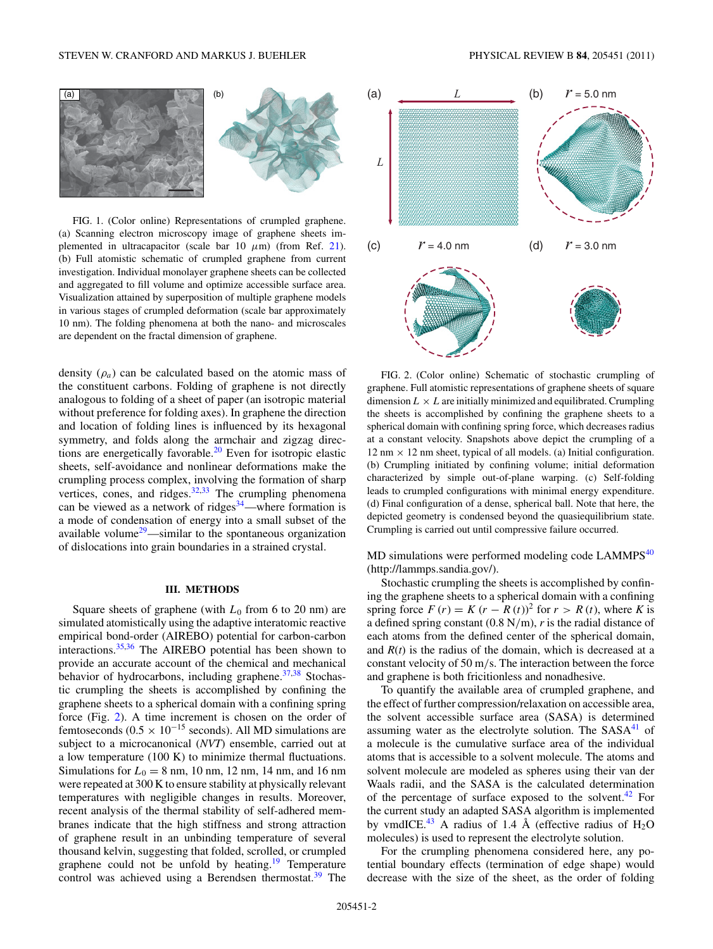<span id="page-1-0"></span>

FIG. 1. (Color online) Representations of crumpled graphene. (a) Scanning electron microscopy image of graphene sheets implemented in ultracapacitor (scale bar 10 *μ*m) (from Ref. [21\)](#page-6-0). (b) Full atomistic schematic of crumpled graphene from current investigation. Individual monolayer graphene sheets can be collected and aggregated to fill volume and optimize accessible surface area. Visualization attained by superposition of multiple graphene models in various stages of crumpled deformation (scale bar approximately 10 nm). The folding phenomena at both the nano- and microscales are dependent on the fractal dimension of graphene.

density  $(\rho_a)$  can be calculated based on the atomic mass of the constituent carbons. Folding of graphene is not directly analogous to folding of a sheet of paper (an isotropic material without preference for folding axes). In graphene the direction and location of folding lines is influenced by its hexagonal symmetry, and folds along the armchair and zigzag direc-tions are energetically favorable.<sup>[20](#page-6-0)</sup> Even for isotropic elastic sheets, self-avoidance and nonlinear deformations make the crumpling process complex, involving the formation of sharp vertices, cones, and ridges. $32,33$  The crumpling phenomena can be viewed as a network of ridges $34$ —where formation is a mode of condensation of energy into a small subset of the available volume<sup>29</sup>—similar to the spontaneous organization of dislocations into grain boundaries in a strained crystal.

# **III. METHODS**

Square sheets of graphene (with  $L_0$  from 6 to 20 nm) are simulated atomistically using the adaptive interatomic reactive empirical bond-order (AIREBO) potential for carbon-carbon interactions.[35,36](#page-6-0) The AIREBO potential has been shown to provide an accurate account of the chemical and mechanical behavior of hydrocarbons, including graphene. $37,38$  Stochastic crumpling the sheets is accomplished by confining the graphene sheets to a spherical domain with a confining spring force (Fig. 2). A time increment is chosen on the order of femtoseconds ( $0.5 \times 10^{-15}$  seconds). All MD simulations are subject to a microcanonical (*NVT*) ensemble, carried out at a low temperature (100 K) to minimize thermal fluctuations. Simulations for  $L_0 = 8$  nm, 10 nm, 12 nm, 14 nm, and 16 nm were repeated at 300 K to ensure stability at physically relevant temperatures with negligible changes in results. Moreover, recent analysis of the thermal stability of self-adhered membranes indicate that the high stiffness and strong attraction of graphene result in an unbinding temperature of several thousand kelvin, suggesting that folded, scrolled, or crumpled graphene could not be unfold by heating.<sup>[19](#page-6-0)</sup> Temperature control was achieved using a Berendsen thermostat.<sup>[39](#page-6-0)</sup> The



FIG. 2. (Color online) Schematic of stochastic crumpling of graphene. Full atomistic representations of graphene sheets of square dimension  $L \times L$  are initially minimized and equilibrated. Crumpling the sheets is accomplished by confining the graphene sheets to a spherical domain with confining spring force, which decreases radius at a constant velocity. Snapshots above depict the crumpling of a 12 nm  $\times$  12 nm sheet, typical of all models. (a) Initial configuration. (b) Crumpling initiated by confining volume; initial deformation characterized by simple out-of-plane warping. (c) Self-folding leads to crumpled configurations with minimal energy expenditure. (d) Final configuration of a dense, spherical ball. Note that here, the depicted geometry is condensed beyond the quasiequilibrium state. Crumpling is carried out until compressive failure occurred.

 $MD$  simulations were performed modeling code  $LAMMPS<sup>40</sup>$  $LAMMPS<sup>40</sup>$  $LAMMPS<sup>40</sup>$ (http://lammps.sandia.gov/).

Stochastic crumpling the sheets is accomplished by confining the graphene sheets to a spherical domain with a confining spring force  $F(r) = K (r - R(t))^2$  for  $r > R(t)$ , where *K* is a defined spring constant (0.8 N*/*m), *r* is the radial distance of each atoms from the defined center of the spherical domain, and *R*(*t*) is the radius of the domain, which is decreased at a constant velocity of 50 m*/*s. The interaction between the force and graphene is both fricitionless and nonadhesive.

To quantify the available area of crumpled graphene, and the effect of further compression/relaxation on accessible area, the solvent accessible surface area (SASA) is determined assuming water as the electrolyte solution. The  $SASA<sup>41</sup>$  of a molecule is the cumulative surface area of the individual atoms that is accessible to a solvent molecule. The atoms and solvent molecule are modeled as spheres using their van der Waals radii, and the SASA is the calculated determination of the percentage of surface exposed to the solvent.<sup>[42](#page-6-0)</sup> For the current study an adapted SASA algorithm is implemented by vmdICE.<sup>[43](#page-6-0)</sup> A radius of 1.4 Å (effective radius of  $H_2O$ molecules) is used to represent the electrolyte solution.

For the crumpling phenomena considered here, any potential boundary effects (termination of edge shape) would decrease with the size of the sheet, as the order of folding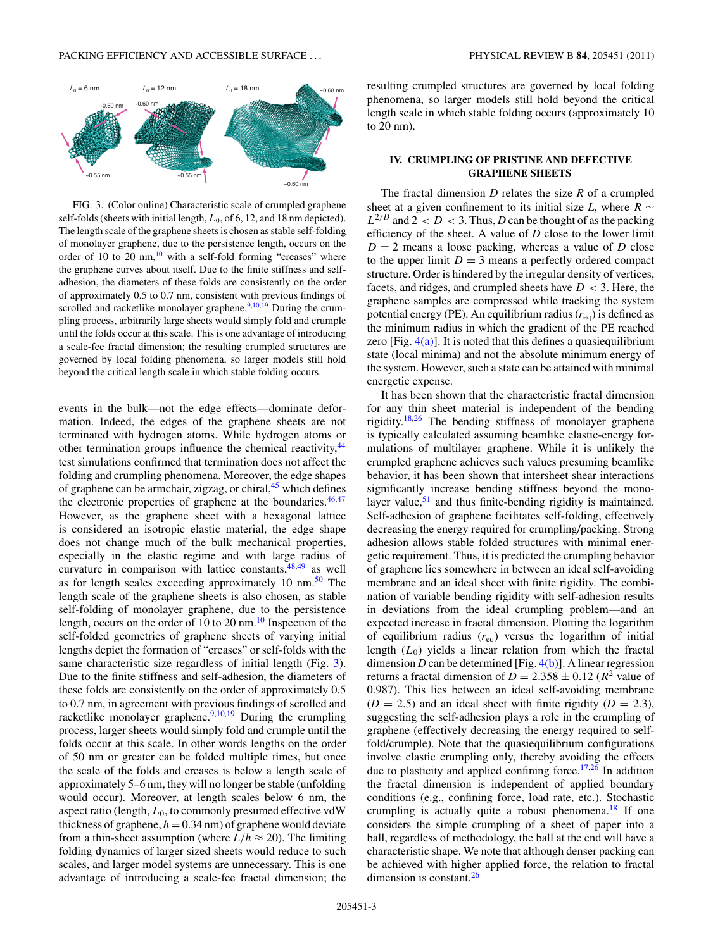

FIG. 3. (Color online) Characteristic scale of crumpled graphene self-folds (sheets with initial length,  $L_0$ , of 6, 12, and 18 nm depicted). The length scale of the graphene sheets is chosen as stable self-folding of monolayer graphene, due to the persistence length, occurs on the order of 10 to 20 nm, $^{10}$  with a self-fold forming "creases" where the graphene curves about itself. Due to the finite stiffness and selfadhesion, the diameters of these folds are consistently on the order of approximately 0.5 to 0.7 nm, consistent with previous findings of scrolled and racketlike monolayer graphene. $9,10,\overline{19}$  During the crumpling process, arbitrarily large sheets would simply fold and crumple until the folds occur at this scale. This is one advantage of introducing a scale-fee fractal dimension; the resulting crumpled structures are governed by local folding phenomena, so larger models still hold beyond the critical length scale in which stable folding occurs.

events in the bulk—not the edge effects—dominate deformation. Indeed, the edges of the graphene sheets are not terminated with hydrogen atoms. While hydrogen atoms or other termination groups influence the chemical reactivity, <sup>[44](#page-6-0)</sup> test simulations confirmed that termination does not affect the folding and crumpling phenomena. Moreover, the edge shapes of graphene can be armchair, zigzag, or chiral,<sup>[45](#page-6-0)</sup> which defines the electronic properties of graphene at the boundaries.  $46,47$ However, as the graphene sheet with a hexagonal lattice is considered an isotropic elastic material, the edge shape does not change much of the bulk mechanical properties, especially in the elastic regime and with large radius of curvature in comparison with lattice constants,  $48,49$  as well as for length scales exceeding approximately 10 nm.<sup>50</sup> The length scale of the graphene sheets is also chosen, as stable self-folding of monolayer graphene, due to the persistence length, occurs on the order of [10](#page-5-0) to 20 nm. $^{10}$  Inspection of the self-folded geometries of graphene sheets of varying initial lengths depict the formation of "creases" or self-folds with the same characteristic size regardless of initial length (Fig. 3). Due to the finite stiffness and self-adhesion, the diameters of these folds are consistently on the order of approximately 0.5 to 0.7 nm, in agreement with previous findings of scrolled and racketlike monolayer graphene. $9,10,19$  $9,10,19$  During the crumpling process, larger sheets would simply fold and crumple until the folds occur at this scale. In other words lengths on the order of 50 nm or greater can be folded multiple times, but once the scale of the folds and creases is below a length scale of approximately 5–6 nm, they will no longer be stable (unfolding would occur). Moreover, at length scales below 6 nm, the aspect ratio (length,  $L_0$ , to commonly presumed effective vdW thickness of graphene,  $h = 0.34$  nm) of graphene would deviate from a thin-sheet assumption (where  $L/h \approx 20$ ). The limiting folding dynamics of larger sized sheets would reduce to such scales, and larger model systems are unnecessary. This is one advantage of introducing a scale-fee fractal dimension; the resulting crumpled structures are governed by local folding phenomena, so larger models still hold beyond the critical length scale in which stable folding occurs (approximately 10 to 20 nm).

# **IV. CRUMPLING OF PRISTINE AND DEFECTIVE GRAPHENE SHEETS**

The fractal dimension *D* relates the size *R* of a crumpled sheet at a given confinement to its initial size *L*, where  $R \sim$  $L^{2/D}$  and  $2 < D < 3$ . Thus, *D* can be thought of as the packing efficiency of the sheet. A value of *D* close to the lower limit  $D = 2$  means a loose packing, whereas a value of *D* close to the upper limit  $D = 3$  means a perfectly ordered compact structure. Order is hindered by the irregular density of vertices, facets, and ridges, and crumpled sheets have *D <* 3. Here, the graphene samples are compressed while tracking the system potential energy (PE). An equilibrium radius  $(r_{eq})$  is defined as the minimum radius in which the gradient of the PE reached zero  $[Fig. 4(a)]$  $[Fig. 4(a)]$ . It is noted that this defines a quasiequilibrium state (local minima) and not the absolute minimum energy of the system. However, such a state can be attained with minimal energetic expense.

It has been shown that the characteristic fractal dimension for any thin sheet material is independent of the bending rigidity[.18,26](#page-6-0) The bending stiffness of monolayer graphene is typically calculated assuming beamlike elastic-energy formulations of multilayer graphene. While it is unlikely the crumpled graphene achieves such values presuming beamlike behavior, it has been shown that intersheet shear interactions significantly increase bending stiffness beyond the monolayer value, $51$  and thus finite-bending rigidity is maintained. Self-adhesion of graphene facilitates self-folding, effectively decreasing the energy required for crumpling/packing. Strong adhesion allows stable folded structures with minimal energetic requirement. Thus, it is predicted the crumpling behavior of graphene lies somewhere in between an ideal self-avoiding membrane and an ideal sheet with finite rigidity. The combination of variable bending rigidity with self-adhesion results in deviations from the ideal crumpling problem—and an expected increase in fractal dimension. Plotting the logarithm of equilibrium radius (*r*eq) versus the logarithm of initial length  $(L_0)$  yields a linear relation from which the fractal dimension *D* can be determined [Fig.  $4(b)$ ]. A linear regression returns a fractal dimension of  $D = 2.358 \pm 0.12$  ( $R^2$  value of 0.987). This lies between an ideal self-avoiding membrane  $(D = 2.5)$  and an ideal sheet with finite rigidity  $(D = 2.3)$ , suggesting the self-adhesion plays a role in the crumpling of graphene (effectively decreasing the energy required to selffold/crumple). Note that the quasiequilibrium configurations involve elastic crumpling only, thereby avoiding the effects due to plasticity and applied confining force.<sup>[17,26](#page-6-0)</sup> In addition the fractal dimension is independent of applied boundary conditions (e.g., confining force, load rate, etc.). Stochastic crumpling is actually quite a robust phenomena.<sup>18</sup> If one considers the simple crumpling of a sheet of paper into a ball, regardless of methodology, the ball at the end will have a characteristic shape. We note that although denser packing can be achieved with higher applied force, the relation to fractal dimension is constant.<sup>26</sup>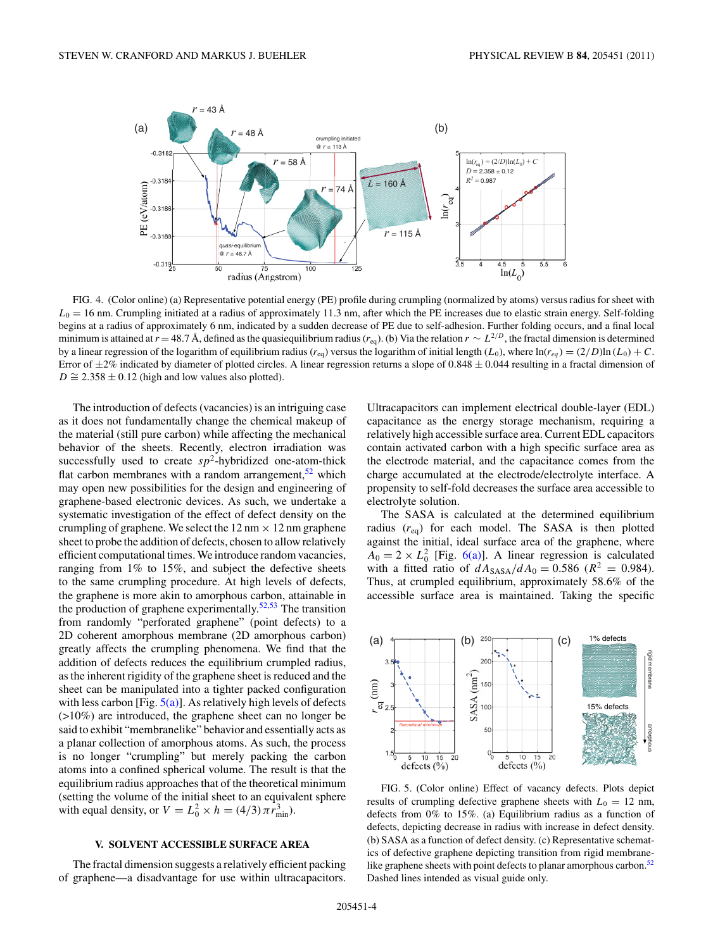<span id="page-3-0"></span>

FIG. 4. (Color online) (a) Representative potential energy (PE) profile during crumpling (normalized by atoms) versus radius for sheet with  $L<sub>0</sub> = 16$  nm. Crumpling initiated at a radius of approximately 11.3 nm, after which the PE increases due to elastic strain energy. Self-folding begins at a radius of approximately 6 nm, indicated by a sudden decrease of PE due to self-adhesion. Further folding occurs, and a final local minimum is attained at  $r = 48.7 \text{ Å}$ , defined as the quasiequilibrium radius ( $r_{eq}$ ). (b) Via the relation  $r \sim L^{2/D}$ , the fractal dimension is determined by a linear regression of the logarithm of equilibrium radius ( $r_{eq}$ ) versus the logarithm of initial length (*L*<sub>0</sub>), where  $ln(r_{eq}) = (2/D)ln(L_0) + C$ . Error of ±2% indicated by diameter of plotted circles. A linear regression returns a slope of 0*.*848 ± 0*.*044 resulting in a fractal dimension of  $D \cong 2.358 \pm 0.12$  (high and low values also plotted).

The introduction of defects (vacancies) is an intriguing case as it does not fundamentally change the chemical makeup of the material (still pure carbon) while affecting the mechanical behavior of the sheets. Recently, electron irradiation was successfully used to create  $sp^2$ -hybridized one-atom-thick flat carbon membranes with a random arrangement,  $52$  which may open new possibilities for the design and engineering of graphene-based electronic devices. As such, we undertake a systematic investigation of the effect of defect density on the crumpling of graphene. We select the  $12 \text{ nm} \times 12 \text{ nm}$  graphene sheet to probe the addition of defects, chosen to allow relatively efficient computational times. We introduce random vacancies, ranging from 1% to 15%, and subject the defective sheets to the same crumpling procedure. At high levels of defects, the graphene is more akin to amorphous carbon, attainable in the production of graphene experimentally. $52,53$  The transition from randomly "perforated graphene" (point defects) to a 2D coherent amorphous membrane (2D amorphous carbon) greatly affects the crumpling phenomena. We find that the addition of defects reduces the equilibrium crumpled radius, as the inherent rigidity of the graphene sheet is reduced and the sheet can be manipulated into a tighter packed configuration with less carbon [Fig.  $5(a)$ ]. As relatively high levels of defects (>10%) are introduced, the graphene sheet can no longer be said to exhibit "membranelike" behavior and essentially acts as a planar collection of amorphous atoms. As such, the process is no longer "crumpling" but merely packing the carbon atoms into a confined spherical volume. The result is that the equilibrium radius approaches that of the theoretical minimum (setting the volume of the initial sheet to an equivalent sphere with equal density, or  $V = L_0^2 \times h = (4/3) \pi r_{\text{min}}^3$ .

#### **V. SOLVENT ACCESSIBLE SURFACE AREA**

The fractal dimension suggests a relatively efficient packing of graphene—a disadvantage for use within ultracapacitors. Ultracapacitors can implement electrical double-layer (EDL) capacitance as the energy storage mechanism, requiring a relatively high accessible surface area. Current EDL capacitors contain activated carbon with a high specific surface area as the electrode material, and the capacitance comes from the charge accumulated at the electrode/electrolyte interface. A propensity to self-fold decreases the surface area accessible to electrolyte solution.

The SASA is calculated at the determined equilibrium radius  $(r_{eq})$  for each model. The SASA is then plotted against the initial, ideal surface area of the graphene, where  $A_0 = 2 \times L_0^2$  [Fig. [6\(a\)\]](#page-4-0). A linear regression is calculated with a fitted ratio of  $dA_{SASA}/dA_0 = 0.586$  ( $R^2 = 0.984$ ). Thus, at crumpled equilibrium, approximately 58.6% of the accessible surface area is maintained. Taking the specific



FIG. 5. (Color online) Effect of vacancy defects. Plots depict results of crumpling defective graphene sheets with  $L_0 = 12$  nm, defects from 0% to 15%. (a) Equilibrium radius as a function of defects, depicting decrease in radius with increase in defect density. (b) SASA as a function of defect density. (c) Representative schematics of defective graphene depicting transition from rigid membranelike graphene sheets with point defects to planar amorphous carbon. $52$ Dashed lines intended as visual guide only.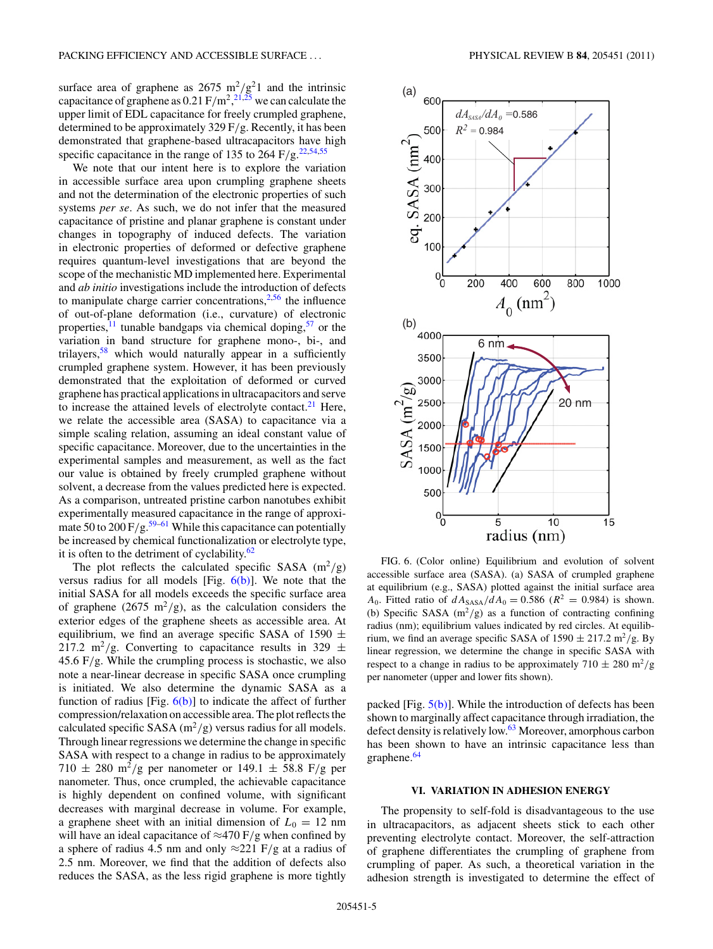<span id="page-4-0"></span>surface area of graphene as  $2675 \text{ m}^2/\text{g}^21$  and the intrinsic capacitance of graphene as 0.21 F*/*m2, [21,25](#page-6-0) we can calculate the upper limit of EDL capacitance for freely crumpled graphene, determined to be approximately 329 F*/*g. Recently, it has been demonstrated that graphene-based ultracapacitors have high specific capacitance in the range of 135 to 264 F/g.<sup>22,54,55</sup>

We note that our intent here is to explore the variation in accessible surface area upon crumpling graphene sheets and not the determination of the electronic properties of such systems *per se*. As such, we do not infer that the measured capacitance of pristine and planar graphene is constant under changes in topography of induced defects. The variation in electronic properties of deformed or defective graphene requires quantum-level investigations that are beyond the scope of the mechanistic MD implemented here. Experimental and *ab initio* investigations include the introduction of defects to manipulate charge carrier concentrations, $2,56$  $2,56$  the influence of out-of-plane deformation (i.e., curvature) of electronic properties, $\frac{11}{11}$  tunable bandgaps via chemical doping,<sup>[57](#page-6-0)</sup> or the variation in band structure for graphene mono-, bi-, and trilayers,<sup>58</sup> which would naturally appear in a sufficiently crumpled graphene system. However, it has been previously demonstrated that the exploitation of deformed or curved graphene has practical applications in ultracapacitors and serve to increase the attained levels of electrolyte contact. $^{21}$  Here, we relate the accessible area (SASA) to capacitance via a simple scaling relation, assuming an ideal constant value of specific capacitance. Moreover, due to the uncertainties in the experimental samples and measurement, as well as the fact our value is obtained by freely crumpled graphene without solvent, a decrease from the values predicted here is expected. As a comparison, untreated pristine carbon nanotubes exhibit experimentally measured capacitance in the range of approximate 50 to  $200 \frac{F}{g}$ .<sup>59–61</sup> While this capacitance can potentially be increased by chemical functionalization or electrolyte type, it is often to the detriment of cyclability. $62$ 

The plot reflects the calculated specific SASA  $(m^2/g)$ versus radius for all models [Fig.  $6(b)$ ]. We note that the initial SASA for all models exceeds the specific surface area of graphene (2675 m<sup>2</sup>/g), as the calculation considers the exterior edges of the graphene sheets as accessible area. At equilibrium, we find an average specific SASA of 1590  $\pm$ 217.2 m<sup>2</sup>/g. Converting to capacitance results in 329  $\pm$ 45.6 F*/*g. While the crumpling process is stochastic, we also note a near-linear decrease in specific SASA once crumpling is initiated. We also determine the dynamic SASA as a function of radius [Fig.  $6(b)$ ] to indicate the affect of further compression/relaxation on accessible area. The plot reflects the calculated specific SASA  $(m^2/g)$  versus radius for all models. Through linear regressions we determine the change in specific SASA with respect to a change in radius to be approximately  $710 \pm 280$  m<sup>2</sup>/g per nanometer or 149.1  $\pm$  58.8 F/g per nanometer. Thus, once crumpled, the achievable capacitance is highly dependent on confined volume, with significant decreases with marginal decrease in volume. For example, a graphene sheet with an initial dimension of  $L_0 = 12$  nm will have an ideal capacitance of ≈470 F*/*g when confined by a sphere of radius 4.5 nm and only ≈221 F*/*g at a radius of 2.5 nm. Moreover, we find that the addition of defects also reduces the SASA, as the less rigid graphene is more tightly



FIG. 6. (Color online) Equilibrium and evolution of solvent accessible surface area (SASA). (a) SASA of crumpled graphene at equilibrium (e.g., SASA) plotted against the initial surface area *A*<sub>0</sub>. Fitted ratio of  $dA_{SASA}/dA_0 = 0.586$  ( $R^2 = 0.984$ ) is shown. (b) Specific SASA  $(m^2/g)$  as a function of contracting confining radius (nm); equilibrium values indicated by red circles. At equilibrium, we find an average specific SASA of  $1590 \pm 217.2$  m<sup>2</sup>/g. By linear regression, we determine the change in specific SASA with respect to a change in radius to be approximately  $710 \pm 280$  m<sup>2</sup>/g per nanometer (upper and lower fits shown).

packed [Fig.  $5(b)$ ]. While the introduction of defects has been shown to marginally affect capacitance through irradiation, the defect density is relatively low.<sup>63</sup> Moreover, amorphous carbon has been shown to have an intrinsic capacitance less than graphene.<sup>64</sup>

## **VI. VARIATION IN ADHESION ENERGY**

The propensity to self-fold is disadvantageous to the use in ultracapacitors, as adjacent sheets stick to each other preventing electrolyte contact. Moreover, the self-attraction of graphene differentiates the crumpling of graphene from crumpling of paper. As such, a theoretical variation in the adhesion strength is investigated to determine the effect of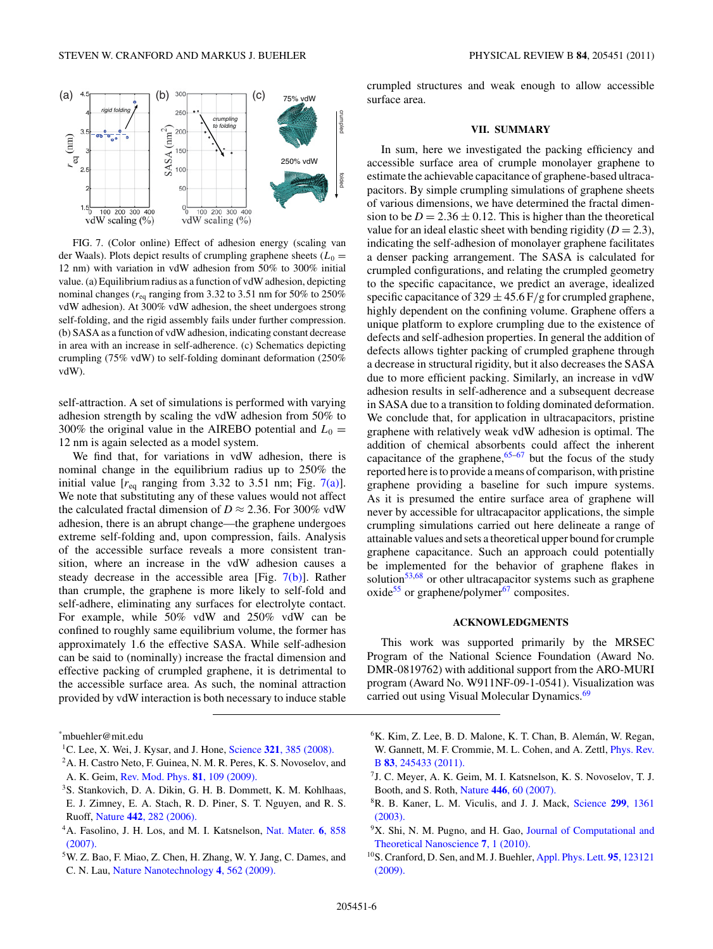<span id="page-5-0"></span>

FIG. 7. (Color online) Effect of adhesion energy (scaling van der Waals). Plots depict results of crumpling graphene sheets  $(L_0 =$ 12 nm) with variation in vdW adhesion from 50% to 300% initial value. (a) Equilibrium radius as a function of vdW adhesion, depicting nominal changes ( $r_{eq}$  ranging from 3.32 to 3.51 nm for 50% to 250% vdW adhesion). At 300% vdW adhesion, the sheet undergoes strong self-folding, and the rigid assembly fails under further compression. (b) SASA as a function of vdW adhesion, indicating constant decrease in area with an increase in self-adherence. (c) Schematics depicting crumpling (75% vdW) to self-folding dominant deformation (250% vdW).

self-attraction. A set of simulations is performed with varying adhesion strength by scaling the vdW adhesion from 50% to 300% the original value in the AIREBO potential and  $L_0 =$ 12 nm is again selected as a model system.

We find that, for variations in vdW adhesion, there is nominal change in the equilibrium radius up to 250% the initial value  $[r_{eq}$  ranging from 3.32 to 3.51 nm; Fig. 7(a)]. We note that substituting any of these values would not affect the calculated fractal dimension of  $D \approx 2.36$ . For 300% vdW adhesion, there is an abrupt change—the graphene undergoes extreme self-folding and, upon compression, fails. Analysis of the accessible surface reveals a more consistent transition, where an increase in the vdW adhesion causes a steady decrease in the accessible area [Fig. 7(b)]. Rather than crumple, the graphene is more likely to self-fold and self-adhere, eliminating any surfaces for electrolyte contact. For example, while 50% vdW and 250% vdW can be confined to roughly same equilibrium volume, the former has approximately 1.6 the effective SASA. While self-adhesion can be said to (nominally) increase the fractal dimension and effective packing of crumpled graphene, it is detrimental to the accessible surface area. As such, the nominal attraction provided by vdW interaction is both necessary to induce stable crumpled structures and weak enough to allow accessible surface area.

#### **VII. SUMMARY**

In sum, here we investigated the packing efficiency and accessible surface area of crumple monolayer graphene to estimate the achievable capacitance of graphene-based ultracapacitors. By simple crumpling simulations of graphene sheets of various dimensions, we have determined the fractal dimension to be  $D = 2.36 \pm 0.12$ . This is higher than the theoretical value for an ideal elastic sheet with bending rigidity  $(D = 2.3)$ , indicating the self-adhesion of monolayer graphene facilitates a denser packing arrangement. The SASA is calculated for crumpled configurations, and relating the crumpled geometry to the specific capacitance, we predict an average, idealized specific capacitance of  $329 \pm 45.6$  F/g for crumpled graphene, highly dependent on the confining volume. Graphene offers a unique platform to explore crumpling due to the existence of defects and self-adhesion properties. In general the addition of defects allows tighter packing of crumpled graphene through a decrease in structural rigidity, but it also decreases the SASA due to more efficient packing. Similarly, an increase in vdW adhesion results in self-adherence and a subsequent decrease in SASA due to a transition to folding dominated deformation. We conclude that, for application in ultracapacitors, pristine graphene with relatively weak vdW adhesion is optimal. The addition of chemical absorbents could affect the inherent capacitance of the graphene,  $65-67$  but the focus of the study reported here is to provide a means of comparison, with pristine graphene providing a baseline for such impure systems. As it is presumed the entire surface area of graphene will never by accessible for ultracapacitor applications, the simple crumpling simulations carried out here delineate a range of attainable values and sets a theoretical upper bound for crumple graphene capacitance. Such an approach could potentially be implemented for the behavior of graphene flakes in solution<sup>53,68</sup> or other ultracapacitor systems such as graphene oxide<sup>55</sup> or graphene/polymer $67$  composites.

# **ACKNOWLEDGMENTS**

This work was supported primarily by the MRSEC Program of the National Science Foundation (Award No. DMR-0819762) with additional support from the ARO-MURI program (Award No. W911NF-09-1-0541). Visualization was carried out using Visual Molecular Dynamics.<sup>[69](#page-6-0)</sup>

- 1C. Lee, X. Wei, J. Kysar, and J. Hone, Science **321**[, 385 \(2008\).](http://dx.doi.org/10.1126/science.1157996)
- 2A. H. Castro Neto, F. Guinea, N. M. R. Peres, K. S. Novoselov, and A. K. Geim, [Rev. Mod. Phys.](http://dx.doi.org/10.1103/RevModPhys.81.109) **81**, 109 (2009).
- 3S. Stankovich, D. A. Dikin, G. H. B. Dommett, K. M. Kohlhaas,
- E. J. Zimney, E. A. Stach, R. D. Piner, S. T. Nguyen, and R. S. Ruoff, Nature **442**[, 282 \(2006\).](http://dx.doi.org/10.1038/nature04969)
- 4A. Fasolino, J. H. Los, and M. I. Katsnelson, [Nat. Mater.](http://dx.doi.org/10.1038/nmat2011) **6**, 858 [\(2007\).](http://dx.doi.org/10.1038/nmat2011)
- 5W. Z. Bao, F. Miao, Z. Chen, H. Zhang, W. Y. Jang, C. Dames, and C. N. Lau, [Nature Nanotechnology](http://dx.doi.org/10.1038/nnano.2009.191) **4**, 562 (2009).
- ${}^{6}$ K. Kim, Z. Lee, B. D. Malone, K. T. Chan, B. Alemán, W. Regan, W. Gannett, M. F. Crommie, M. L. Cohen, and A. Zettl, [Phys. Rev.](http://dx.doi.org/10.1103/PhysRevB.83.245433) B **83**[, 245433 \(2011\).](http://dx.doi.org/10.1103/PhysRevB.83.245433)
- 7J. C. Meyer, A. K. Geim, M. I. Katsnelson, K. S. Novoselov, T. J. Booth, and S. Roth, Nature **446**[, 60 \(2007\).](http://dx.doi.org/10.1038/nature05545)
- 8R. B. Kaner, L. M. Viculis, and J. J. Mack, [Science](http://dx.doi.org/10.1126/science.1078842) **299**, 1361 [\(2003\).](http://dx.doi.org/10.1126/science.1078842)
- <sup>9</sup>X. Shi, N. M. Pugno, and H. Gao, [Journal of Computational and](http://dx.doi.org/10.1166/jctn.2010.1332) [Theoretical Nanoscience](http://dx.doi.org/10.1166/jctn.2010.1332) **7**, 1 (2010).
- 10S. Cranford, D. Sen, and M. J. Buehler, [Appl. Phys. Lett.](http://dx.doi.org/10.1063/1.3223783) **95**, 123121 [\(2009\).](http://dx.doi.org/10.1063/1.3223783)

<sup>\*</sup> mbuehler@mit.edu